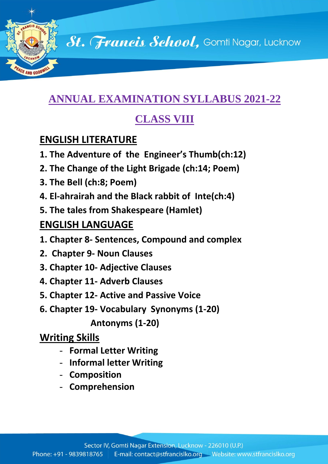St. Francis School, Gomti Nagar, Lucknow

# **ANNUAL EXAMINATION SYLLABUS 2021-22**

# **CLASS VIII**

# **ENGLISH LITERATURE**

AND GOOD

- **1. The Adventure of the Engineer's Thumb(ch:12)**
- **2. The Change of the Light Brigade (ch:14; Poem)**
- **3. The Bell (ch:8; Poem)**
- **4. El-ahrairah and the Black rabbit of Inte(ch:4)**
- **5. The tales from Shakespeare (Hamlet)**

## **ENGLISH LANGUAGE**

- **1. Chapter 8- Sentences, Compound and complex**
- **2. Chapter 9- Noun Clauses**
- **3. Chapter 10- Adjective Clauses**
- **4. Chapter 11- Adverb Clauses**
- **5. Chapter 12- Active and Passive Voice**
- **6. Chapter 19- Vocabulary Synonyms (1-20)**

 **Antonyms (1-20)**

# **Writing Skills**

- **Formal Letter Writing**
- **Informal letter Writing**
- **Composition**
- **Comprehension**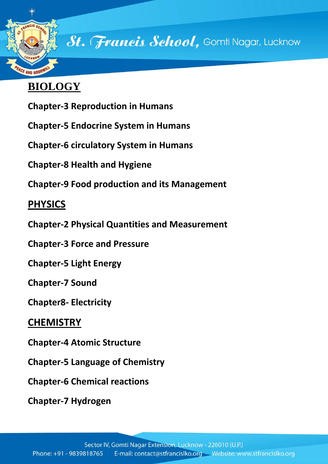

St. Francis School, Gomti Nagar, Lucknow

# **BIOLOGY**

- **Chapter-3 Reproduction in Humans**
- **Chapter-5 Endocrine System in Humans**
- **Chapter-6 circulatory System in Humans**
- **Chapter-8 Health and Hygiene**
- **Chapter-9 Food production and its Management**

# **PHYSICS**

- **Chapter-2 Physical Quantities and Measurement**
- **Chapter-3 Force and Pressure**
- **Chapter-5 Light Energy**
- **Chapter-7 Sound**
- **Chapter8- Electricity**

## **CHEMISTRY**

- **Chapter-4 Atomic Structure**
- **Chapter-5 Language of Chemistry**
- **Chapter-6 Chemical reactions**
- **Chapter-7 Hydrogen**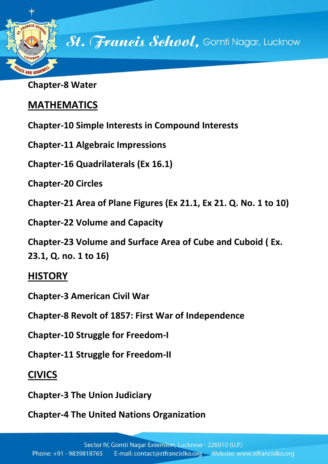

**Chapter-8 Water**

## **MATHEMATICS**

**Chapter-10 Simple Interests in Compound Interests**

**Chapter-11 Algebraic Impressions**

**Chapter-16 Quadrilaterals (Ex 16.1)**

**Chapter-20 Circles**

**Chapter-21 Area of Plane Figures (Ex 21.1, Ex 21. Q. No. 1 to 10)**

**Chapter-22 Volume and Capacity**

**Chapter-23 Volume and Surface Area of Cube and Cuboid ( Ex. 23.1, Q. no. 1 to 16)**

#### **HISTORY**

**Chapter-3 American Civil War**

**Chapter-8 Revolt of 1857: First War of Independence**

**Chapter-10 Struggle for Freedom-I**

**Chapter-11 Struggle for Freedom-II**

## **CIVICS**

**Chapter-3 The Union Judiciary**

**Chapter-4 The United Nations Organization**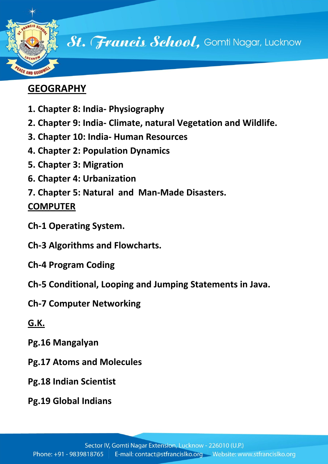

## **GEOGRAPHY**

- **1. Chapter 8: India- Physiography**
- **2. Chapter 9: India- Climate, natural Vegetation and Wildlife.**
- **3. Chapter 10: India- Human Resources**
- **4. Chapter 2: Population Dynamics**
- **5. Chapter 3: Migration**
- **6. Chapter 4: Urbanization**
- **7. Chapter 5: Natural and Man-Made Disasters.**

#### **COMPUTER**

- **Ch-1 Operating System.**
- **Ch-3 Algorithms and Flowcharts.**
- **Ch-4 Program Coding**
- **Ch-5 Conditional, Looping and Jumping Statements in Java.**
- **Ch-7 Computer Networking**

## **G.K.**

- **Pg.16 Mangalyan**
- **Pg.17 Atoms and Molecules**
- **Pg.18 Indian Scientist**
- **Pg.19 Global Indians**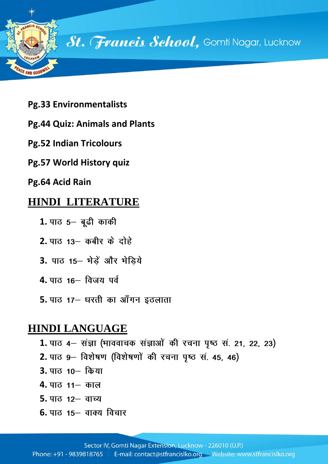

- **Pg.33 Environmentalists**
- **Pg.44 Quiz: Animals and Plants**
- **Pg.52 Indian Tricolours**
- **Pg.57 World History quiz**
- **Pg.64 Acid Rain**

#### **HINDI LITERATURE**

- 1. पाठ 5- बूढी काकी
- **2.** पाठ 13– कबीर के दोहे
- 3. पाठ 15- मेडें और मेडिये
- **4.** पाठ 16 विजय पर्व
- **5.** पाठ 17– धरती का आँगन इठलाता

#### **HINDI LANGUAGE**

- 1. पाठ 4– संज्ञा (भाववाचक संज्ञाओं की रचना पृष्ठ सं. 21, 22, 23)
- 2. पाठ 9– विशेषण (विशेषणों की रचना पृष्ठ सं. 45, 46)
- **3.**
- **4.**
- **5.**
- **6.** पाठ 15 वाक्य विचार

Phone: +91 - 9839818765 E-mail: contact@stfrancislko.org Website: www.stfrancislko.org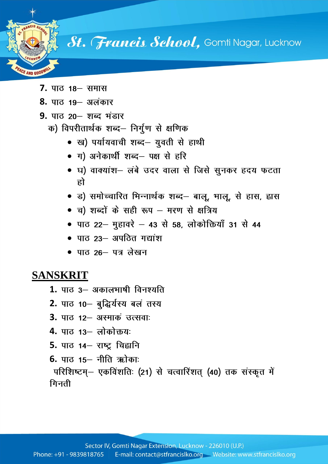

**7.**

AND GOOT

- **8.**
- **9.**
	- क) विपरीतार्थक शब्द– निर्गुण से क्षणिक
		- ख) पर्यायवाची शब्द– युवती से हाथी
		- ग) अनेकार्थी शब्द– पक्ष से हरि
		- घ) वाक्यांश– लंबे उदर वाला से जिसे सुनकर हदय फटता हो
		- ड) समोच्चारित भिन्नार्थक शब्द– बालू, भालू, से हास, ह्वास
		- च) शब्दों के सही रूप मरण से क्षत्रिय
		- पाठ 22– मुहावरे 43 से 58, लोकोक्तियाँ 31 से 44
		- पाठ 23- अपठित गद्यांश
		- पाठ 26– पत्र लेखन

#### **SANSKRIT**

- **1.**
- **2.**
- **3.** पाठ 12– अस्माकं उत्सवा:
- **4.**
- **5.**
- **6.** पाठ 15- नीति ऋोकाः

परिशिष्टम्– एकविंशतिः (21) से चत्वारिंशत् (40) तक संस्कृत में गिनती